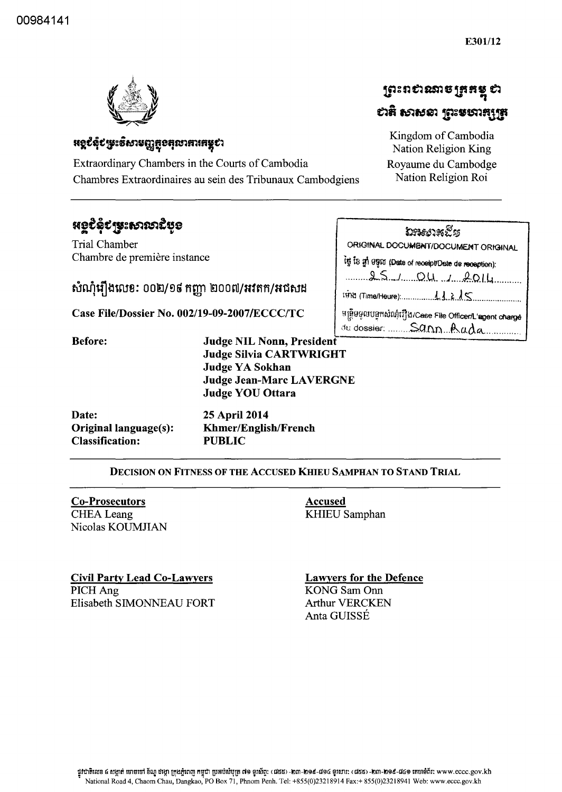

# **អន្លបំពុំបម្រុះទិសាមញ្ញត្ថខតុលាភារកម្ពុបា**

Extraordinary Chambers in the Courts of Cambodia Chambres Extraordinaires au sein des Tribunaux Cambodgiens

# **หอรรู**่รู้ได้ล้อง สามารถรู้

Trial Chamber Chambre de première instance

សំណុំរឿងលេខ: ០០២/១៩ កញ្ញា ២០០៧/អវតក/អជសង

Case File/Dossier No. 002/19-09-2007/ECCC/TC

| Nation Religion King |  |
|----------------------|--|
| Royaume du Cambodge  |  |
| Nation Religion Roi  |  |

ព្រះពស់ណាចត្រួតម្ដុ ស

បាតិ សាសនា ស្រះមហាក្សត្រ

Kingdom of Cambodia

|  | ัมระยาสยัฐ        |                                                   |  |
|--|-------------------|---------------------------------------------------|--|
|  |                   | ORIGINAL DOCUMENT/DOCUMENT ORIGINAL               |  |
|  |                   | it is gi agnt (Date of recept/Dete de reception): |  |
|  | $0 \leq r \leq 0$ |                                                   |  |

<u>S. J. O.U. J. 2014.</u>

មន្ត្រីមមូលបទ្ទុកសំណុំរឿង/Cese File OfficenL'agent charge

du dossier: Sann Rada

| <b>Before:</b> | Judge NIL Nonn, President       |
|----------------|---------------------------------|
|                | <b>Judge Silvia CARTWRIGHT</b>  |
|                | <b>Judge YA Sokhan</b>          |
|                | <b>Judge Jean-Marc LAVERGNE</b> |
|                | <b>Judge YOU Ottara</b>         |
|                |                                 |

| Date:                        | 25 April 2014               |
|------------------------------|-----------------------------|
| <b>Original language(s):</b> | <b>Khmer/English/French</b> |
| <b>Classification:</b>       | <b>PUBLIC</b>               |

#### DECISION ON FITNESS OF THE ACCUSED KHIEU SAMPHAN TO STAND TRIAL

**Co-Prosecutors CHEA** Leang Nicolas KOUMJIAN

**Accused KHIEU Samphan** 

**Civil Party Lead Co-Lawyers** PICH Ang Elisabeth SIMONNEAU FORT **Lawyers for the Defence KONG Sam Onn Arthur VERCKEN** Anta GUISSÉ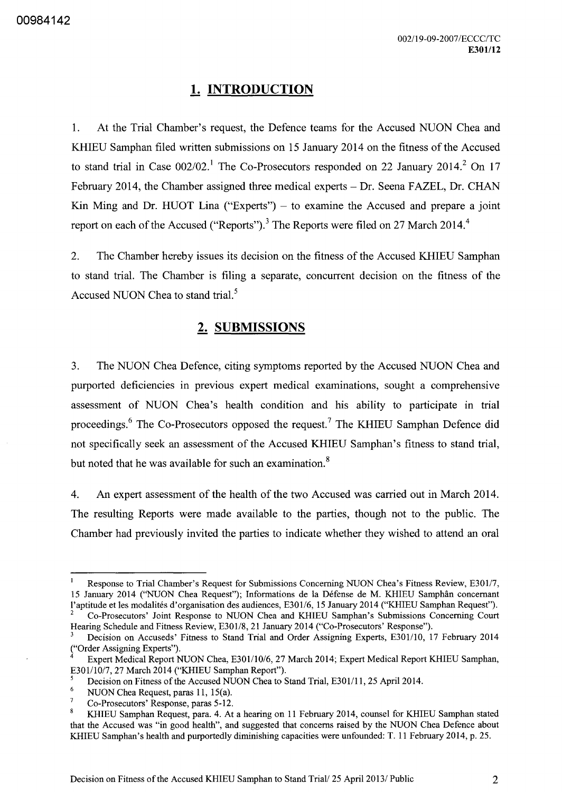## **1. INTRODUCTION**

1. At the Trial Chamber's request, the Defence teams for the Accused NUON Chea and KHIEU Samphan filed written submissions on 15 January 2014 on the fitness of the Accused to stand trial in Case  $002/02$ .<sup>1</sup> The Co-Prosecutors responded on 22 January 2014.<sup>2</sup> On 17 February 2014, the Chamber assigned three medical experts - Dr. Seena FAZEL, Dr. CHAN Kin Ming and Dr. HUOT Lina ("Experts")  $-$  to examine the Accused and prepare a joint report on each of the Accused ("Reports").<sup>3</sup> The Reports were filed on 27 March 2014.<sup>4</sup>

2. The Chamber hereby issues its decision on the fitness of the Accused KHIEU Samphan to stand trial. The Chamber is filing a separate, concurrent decision on the fitness of the Accused NUON Chea to stand trial.<sup>5</sup>

### **2. SUBMISSIONS**

3. The NUON Chea Defence, citing symptoms reported by the Accused NUON Chea and purported deficiencies in previous expert medical examinations, sought a comprehensive assessment of NUON Chea's health condition and his ability to participate in trial proceedings.<sup>6</sup> The Co-Prosecutors opposed the request.<sup>7</sup> The KHIEU Samphan Defence did not specifically seek an assessment of the Accused KHIEU Samphan's fitness to stand trial, but noted that he was available for such an examination.<sup>8</sup>

4. An expert assessment of the health of the two Accused was carried out in March 2014. The resulting Reports were made available to the parties, though not to the public. The Chamber had previously invited the parties to indicate whether they wished to attend an oral

Response to Trial Chamber's Request for Submissions Concerning NUON Chea's Fitness Review, E30117, 15 January 2014 ('NUON Chea Request''); Informations de la Défense de M. KHIEU Samphân concernant l'aptitude et les modalites d'organisation des audiences, E301l6, 15 January 2014 ("KHIEU Samphan Request").

<sup>2</sup> Co-Prosecutors' Joint Response to NUON Chea and KHIEU Samphan's Submissions Concerning Court Hearing Schedule and Fitness Review, E301/8, 21 January 2014 ("Co-Prosecutors' Response").

Decision on Accuseds' Fitness to Stand Trial and Order Assigning Experts, E301/10, 17 February 2014 ("Order Assigning Experts").

Expert Medical Report NUON Chea, E301/10/6, 27 March 2014; Expert Medical Report KHIEU Samphan, E301/10/7, 27 March 2014 ("KHIEU Samphan Report").

<sup>&</sup>lt;sup>5</sup> Decision on Fitness of the Accused NUON Chea to Stand Trial, E301/11, 25 April 2014.

<sup>&</sup>lt;sup>6</sup> NUON Chea Request, paras 11, 15(a).

Co-Prosecutors' Response, paras 5 -12.

<sup>8</sup> KHIEU Samphan Request, para. 4. At a hearing on 11 February 2014, counsel for KHIEU Samphan stated that the Accused was "in good health", and suggested that concerns raised by the NUON Chea Defence about KHIEU Samphan's health and purportedly diminishing capacities were unfounded: T. 11 February 2014, p. 25.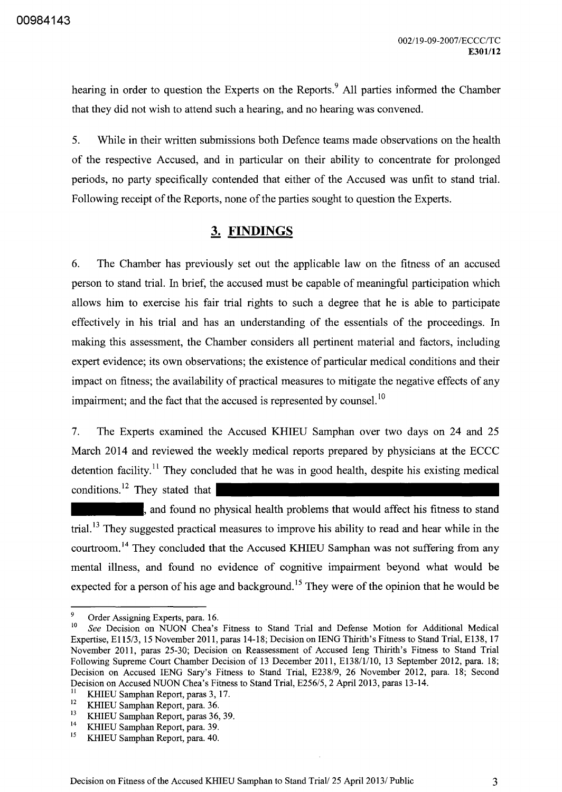hearing in order to question the Experts on the Reports.<sup>9</sup> All parties informed the Chamber that they did not wish to attend such a hearing, and no hearing was convened.

5. While in their written submissions both Defence teams made observations on the health of the respective Accused, and in particular on their ability to concentrate for prolonged periods, no party specifically contended that either of the Accused was unfit to stand trial. Following receipt of the Reports, none of the parties sought to question the Experts.

## **3. FINDINGS**

6. The Chamber has previously set out the applicable law on the fitness of an accused person to stand trial. In brief, the accused must be capable of meaningful participation which allows him to exercise his fair trial rights to such a degree that he is able to participate effectively in his trial and has an understanding of the essentials of the proceedings. In making this assessment, the Chamber considers all pertinent material and factors, including expert evidence; its own observations; the existence of particular medical conditions and their impact on fitness; the availability of practical measures to mitigate the negative effects of any impairment; and the fact that the accused is represented by counsel.<sup>10</sup>

7. The Experts examined the Accused KHIEU Samphan over two days on 24 and 25 March 2014 and reviewed the weekly medical reports prepared by physicians at the ECCC detention facility.<sup>11</sup> They concluded that he was in good health, despite his existing medical conditions.<sup>12</sup> They stated that

and found no physical health problems that would affect his fitness to stand trial.<sup>13</sup> They suggested practical measures to improve his ability to read and hear while in the courtroom.<sup>14</sup> They concluded that the Accused KHIEU Samphan was not suffering from any mental illness, and found no evidence of cognitive impairment beyond what would be expected for a person of his age and background.<sup>15</sup> They were of the opinion that he would be

<sup>9</sup> Order Assigning Experts, para. 16.

<sup>10</sup>*See* Decision on NUON Chea's Fitness to Stand Trial and Defense Motion for Additional Medical Expertise, El15/3, 15 November 2011, paras 14-18; Decision on IENG Thirith's Fitness to Stand Trial, E138, 17 November 2011, paras 25-30; Decision on Reassessment of Accused Ieng Thirith's Fitness to Stand Trial Following Supreme Court Chamber Decision of 13 December 2011, E138/1/10, 13 September 2012, para. 18; Decision on Accused IENG Sary's Fitness to Stand Trial, E238/9, 26 November 2012, para. 18; Second Decision on Accused NUON Chea's Fitness to Stand Trial, E256/5, 2 April 2013, paras 13-14.

<sup>&</sup>lt;sup>11</sup> KHIEU Samphan Report, paras 3, 17.<br> $V = V \times V$  Samphan Penort, para 36

 $12$  KHIEU Samphan Report, para. 36.

<sup>&</sup>lt;sup>13</sup> KHIEU Samphan Report, paras 36, 39.

<sup>&</sup>lt;sup>14</sup> KHIEU Samphan Report, para. 39.<br><sup>15</sup> KHIEU Samphan Report, para. 40.

<sup>15</sup> KHIEU Samphan Report, para. 40.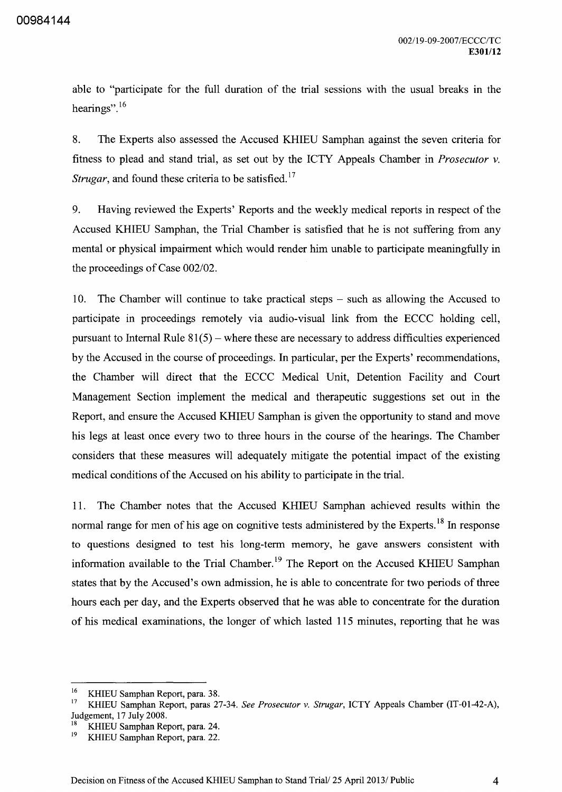able to "participate for the full duration of the trial sessions with the usual breaks in the hearings".<sup>16</sup>

8. The Experts also assessed the Accused KHIEU Samphan against the seven criteria for fitness to plead and stand trial, as set out by the ICTY Appeals Chamber in *Prosecutor* v. *Strugar*, and found these criteria to be satisfied.<sup>17</sup>

9. Having reviewed the Experts' Reports and the weekly medical reports in respect of the Accused KHIEU Samphan, the Trial Chamber is satisfied that he is not suffering from any mental or physical impairment which would render him unable to participate meaningfully in the proceedings of Case *002/02.* 

10. The Chamber will continue to take practical steps – such as allowing the Accused to participate in proceedings remotely via audio-visual link from the ECCC holding cell, pursuant to Internal Rule  $81(5)$  – where these are necessary to address difficulties experienced by the Accused in the course of proceedings. In particular, per the Experts' recommendations, the Chamber will direct that the ECCC Medical Unit, Detention Facility and Court Management Section implement the medical and therapeutic suggestions set out in the Report, and ensure the Accused KHIEU Samphan is given the opportunity to stand and move his legs at least once every two to three hours in the course of the hearings. The Chamber considers that these measures will adequately mitigate the potential impact of the existing medical conditions of the Accused on his ability to participate in the trial.

11. The Chamber notes that the Accused KHIEU Samphan achieved results within the normal range for men of his age on cognitive tests administered by the Experts.<sup>18</sup> In response to questions designed to test his long-term memory, he gave answers consistent with information available to the Trial Chamber.<sup>19</sup> The Report on the Accused KHIEU Samphan states that by the Accused's own admission, he is able to concentrate for two periods of three hours each per day, and the Experts observed that he was able to concentrate for the duration of his medical examinations, the longer of which lasted 115 minutes, reporting that he was

<sup>&</sup>lt;sup>16</sup> KHIEU Samphan Report, para. 38.<br><sup>17</sup> KHIEU Samphan Bapart, paras.  $25$ 

<sup>17</sup> KHIEU Samphan Report, paras 27-34. *See Prosecutor* v. *Strugar,* ICTY Appeals Chamber (IT-01-42-A), Judgement, 17 July 200S.

<sup>&</sup>lt;sup>18</sup> KHIEU Samphan Report, para. 24.<br><sup>19</sup> KHIEU Samphan Bonest, para. 22.

KHIEU Samphan Report, para. 22.